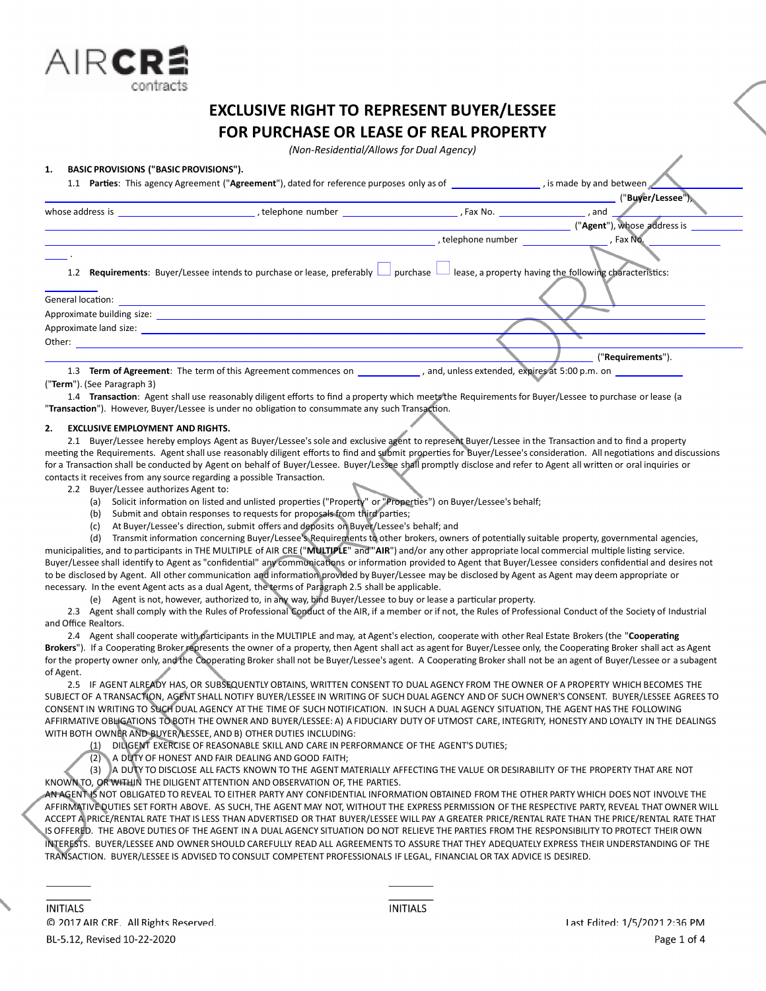

# **EXCLUSIVE RIGHT TO REPRESENT BUYER/LESSEE FOR PURCHASE OR LEASE OF REAL PROPERTY**

*(Non-ResidenƟal/Allows for Dual Agency)*

# **1. BASIC PROVISIONS ("BASIC PROVISIONS").**

|                                                       | <b>Parties:</b> This agency Agreement ("Agreement"), dated for reference purposes only as of the state of the state by and between                                                                                             |                                               |                             |  |
|-------------------------------------------------------|--------------------------------------------------------------------------------------------------------------------------------------------------------------------------------------------------------------------------------|-----------------------------------------------|-----------------------------|--|
|                                                       |                                                                                                                                                                                                                                |                                               | ("Buver/Lessee")            |  |
| whose address is                                      | telephone number and the set of the set of the set of the set of the set of the set of the set of the set of the set of the set of the set of the set of the set of the set of the set of the set of the set of the set of the |                                               |                             |  |
|                                                       |                                                                                                                                                                                                                                |                                               | ("Agent"), whose address is |  |
|                                                       |                                                                                                                                                                                                                                | , telephone number                            | , Fax No.                   |  |
| 1.2                                                   | Requirements: Buyer/Lessee intends to purchase or lease, preferably $\Box$ purchase $\Box$ lease, a property having the following characteristics:                                                                             |                                               |                             |  |
| General location:                                     |                                                                                                                                                                                                                                |                                               |                             |  |
| Approximate building size: Approximate building size: |                                                                                                                                                                                                                                |                                               |                             |  |
| Approximate land size:                                |                                                                                                                                                                                                                                |                                               |                             |  |
| Other:                                                |                                                                                                                                                                                                                                |                                               |                             |  |
|                                                       |                                                                                                                                                                                                                                |                                               | "Requirements").            |  |
|                                                       | 1.3 <b>Term of Agreement:</b> The term of this Agreement commences on                                                                                                                                                          | and, unless extended, expires at 5:00 p.m. on |                             |  |

("**Term**"). (See Paragraph 3)

1.4 Transaction: Agent shall use reasonably diligent efforts to find a property which meets the Requirements for Buyer/Lessee to purchase or lease (a "**TransacƟon**"). However, Buyer/Lessee is under no obligaƟon to consummate any such TransacƟon.

# **2. EXCLUSIVE EMPLOYMENT AND RIGHTS.**

2.1 Buyer/Lessee hereby employs Agent as Buyer/Lessee's sole and exclusive agent to represent Buyer/Lessee in the Transaction and to find a property meeting the Requirements. Agent shall use reasonably diligent efforts to find and submit properties for Buyer/Lessee's consideration. All negotiations and discussions for a Transaction shall be conducted by Agent on behalf of Buyer/Lessee. Buyer/Lessee shall promptly disclose and refer to Agent all written or oral inquiries or contacts it receives from any source regarding a possible Transaction.

2.2 Buyer/Lessee authorizes Agent to:

- (a) Solicit information on listed and unlisted properties ("Property" or "Properties") on Buyer/Lessee's behalf;
- (b) Submit and obtain responses to requests for proposals from third parties;
- (c) At Buyer/Lessee's direction, submit offers and deposits on Buyer/Lessee's behalf; and

(d) Transmit information concerning Buyer/Lessee's Requirements to other brokers, owners of potentially suitable property, governmental agencies, municipalities, and to participants in THE MULTIPLE of AIR CRE ("MULTIPLE" and "AIR") and/or any other appropriate local commercial multiple listing service. Buyer/Lessee shall identify to Agent as "confidential" any communications or information provided to Agent that Buyer/Lessee considers confidential and desires not to be disclosed by Agent. All other communication and information provided by Buyer/Lessee may be disclosed by Agent as Agent may deem appropriate or necessary. In the event Agent acts as a dual Agent, the terms of Paragraph 2.5 shall be applicable.

(e) Agent is not, however, authorized to, in any way, bind Buyer/Lessee to buy or lease a particular property.

2.3 Agent shall comply with the Rules of Professional Conduct of the AIR, if a member or if not, the Rules of Professional Conduct of the Society of Industrial and Office Realtors.

2.4 Agent shall cooperate with participants in the MULTIPLE and may, at Agent's election, cooperate with other Real Estate Brokers (the "Cooperating Brokers"). If a Cooperating Broker represents the owner of a property, then Agent shall act as agent for Buyer/Lessee only, the Cooperating Broker shall act as Agent for the property owner only, and the Cooperating Broker shall not be Buyer/Lessee's agent. A Cooperating Broker shall not be an agent of Buyer/Lessee or a subagent of Agent.

2.5 IF AGENT ALREADY HAS, OR SUBSEQUENTLY OBTAINS, WRITTEN CONSENT TO DUAL AGENCY FROM THE OWNER OF A PROPERTY WHICH BECOMES THE SUBJECT OF A TRANSACTION, AGENT SHALL NOTIFY BUYER/LESSEE IN WRITING OF SUCH DUAL AGENCY AND OF SUCH OWNER'S CONSENT. BUYER/LESSEE AGREES TO CONSENT IN WRITING TO SUCH DUAL AGENCY AT THE TIME OF SUCH NOTIFICATION. IN SUCH A DUAL AGENCY SITUATION, THE AGENT HAS THE FOLLOWING AFFIRMATIVE OBLIGATIONS TO BOTH THE OWNER AND BUYER/LESSEE: A) A FIDUCIARY DUTY OF UTMOST CARE, INTEGRITY, HONESTY AND LOYALTY IN THE DEALINGS WITH BOTH OWNER AND BUYER/LESSEE, AND B) OTHER DUTIES INCLUDING:

DILIGENT EXERCISE OF REASONABLE SKILL AND CARE IN PERFORMANCE OF THE AGENT'S DUTIES;

(2) A DUTY OF HONEST AND FAIR DEALING AND GOOD FAITH;

(3) A DUTY TO DISCLOSE ALL FACTS KNOWN TO THE AGENT MATERIALLY AFFECTING THE VALUE OR DESIRABILITY OF THE PROPERTY THAT ARE NOT KNOWN TO, OR WITHIN THE DILIGENT ATTENTION AND OBSERVATION OF, THE PARTIES.

AN AGENT IS NOT OBLIGATED TO REVEAL TO EITHER PARTY ANY CONFIDENTIAL INFORMATION OBTAINED FROM THE OTHER PARTY WHICH DOES NOT INVOLVE THE AFFIRMATIVE DUTIES SET FORTH ABOVE. AS SUCH, THE AGENT MAY NOT, WITHOUT THE EXPRESS PERMISSION OF THE RESPECTIVE PARTY, REVEAL THAT OWNER WILL ACCEPT A PRICE/RENTAL RATE THAT IS LESS THAN ADVERTISED OR THAT BUYER/LESSEE WILL PAY A GREATER PRICE/RENTAL RATE THAN THE PRICE/RENTAL RATE THAT IS OFFERED. THE ABOVE DUTIES OF THE AGENT IN A DUAL AGENCY SITUATION DO NOT RELIEVE THE PARTIES FROM THE RESPONSIBILITY TO PROTECT THEIR OWN INTERESTS. BUYER/LESSEE AND OWNER SHOULD CAREFULLY READ ALL AGREEMENTS TO ASSURE THAT THEY ADEQUATELY EXPRESS THEIR UNDERSTANDING OF THE TRANSACTION. BUYER/LESSEE IS ADVISED TO CONSULT COMPETENT PROFESSIONALS IF LEGAL, FINANCIAL OR TAX ADVICE IS DESIRED.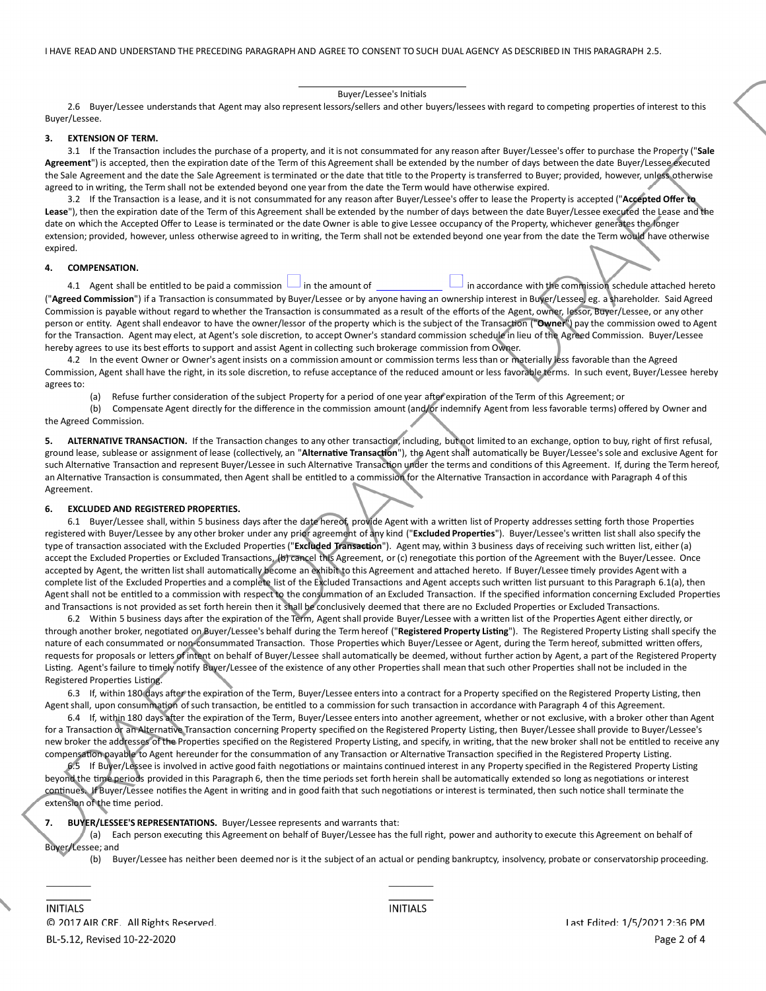#### Buyer/Lessee's Initials

2.6 Buyer/Lessee understands that Agent may also represent lessors/sellers and other buyers/lessees with regard to competing properties of interest to this Buyer/Lessee.

#### **3. EXTENSION OF TERM.**

3.1 If the Transaction includes the purchase of a property, and it is not consummated for any reason after Buyer/Lessee's offer to purchase the Property ("Sale Agreement") is accepted, then the expiration date of the Term of this Agreement shall be extended by the number of days between the date Buyer/Lessee executed the Sale Agreement and the date the Sale Agreement is terminated or the date that title to the Property is transferred to Buyer; provided, however, unless, otherwise agreed to in writing, the Term shall not be extended beyond one year from the date the Term would have otherwise expired.

3.2 If the Transaction is a lease, and it is not consummated for any reason after Buyer/Lessee's offer to lease the Property is accepted ("Accepted Offer to Lease"), then the expiration date of the Term of this Agreement shall be extended by the number of days between the date Buyer/Lessee executed the Lease and the date on which the Accepted Offer to Lease is terminated or the date Owner is able to give Lessee occupancy of the Property, whichever generates the longer extension; provided, however, unless otherwise agreed to in writing, the Term shall not be extended beyond one year from the date the Term would have otherwise expired.

#### **4. COMPENSATION.**

4.1 Agent shall be entitled to be paid a commission  $\Box$  in the amount of  $\Box$  in accordance with the commission schedule attached hereto ("Agreed Commission") if a Transaction is consummated by Buyer/Lessee or by anyone having an ownership interest in Buyer/Lessee, eg. a shareholder. Said Agreed Commission is payable without regard to whether the Transaction is consummated as a result of the efforts of the Agent, owner, lessor, Buyer/Lessee, or any other person or entity. Agent shall endeavor to have the owner/lessor of the property which is the subject of the Transaction ("Owner") pay the commission owed to Agent for the Transaction. Agent may elect, at Agent's sole discretion, to accept Owner's standard commission schedule in lieu of the Agreed Commission. Buyer/Lessee hereby agrees to use its best efforts to support and assist Agent in collecting such brokerage commission from Owner.

4.2 In the event Owner or Owner's agent insists on a commission amount or commission terms less than or materially less favorable than the Agreed Commission, Agent shall have the right, in its sole discretion, to refuse acceptance of the reduced amount or less favorable terms. In such event, Buyer/Lessee hereby agrees to:

(a) Refuse further consideration of the subject Property for a period of one year after expiration of the Term of this Agreement; or

(b) Compensate Agent directly for the difference in the commission amount (and/or indemnify Agent from less favorable terms) offered by Owner and the Agreed Commission.

ALTERNATIVE TRANSACTION. If the Transaction changes to any other transaction, including, but not limited to an exchange, option to buy, right of first refusal, ground lease, sublease or assignment of lease (collectively, an "Alternative Transaction"), the Agent shall automatically be Buyer/Lessee's sole and exclusive Agent for such Alternative Transaction and represent Buyer/Lessee in such Alternative Transaction under the terms and conditions of this Agreement. If, during the Term hereof, an Alternative Transaction is consummated, then Agent shall be entitled to a commission for the Alternative Transaction in accordance with Paragraph 4 of this Agreement.

## **6. EXCLUDED AND REGISTERED PROPERTIES.**

6.1 Buyer/Lessee shall, within 5 business days after the date hereof, provide Agent with a written list of Property addresses setting forth those Properties registered with Buyer/Lessee by any other broker under any prior agreement of any kind ("Excluded Properties"). Buyer/Lessee's written list shall also specify the type of transaction associated with the Excluded Properties ("Excluded Transaction"). Agent may, within 3 business days of receiving such written list, either (a) accept the Excluded Properties or Excluded Transactions, (b) cancel this Agreement, or (c) renegotiate this portion of the Agreement with the Buyer/Lessee. Once accepted by Agent, the written list shall automatically become an exhibit to this Agreement and attached hereto. If Buyer/Lessee timely provides Agent with a complete list of the Excluded Properties and a complete list of the Excluded Transactions and Agent accepts such written list pursuant to this Paragraph 6.1(a), then Agent shall not be entitled to a commission with respect to the consummation of an Excluded Transaction. If the specified information concerning Excluded Properties and Transactions is not provided as set forth herein then it shall be conclusively deemed that there are no Excluded Properties or Excluded Transactions.

6.2 Within 5 business days after the expiration of the Term, Agent shall provide Buyer/Lessee with a written list of the Properties Agent either directly, or through another broker, negoƟated on Buyer/Lessee's behalf during the Term hereof ("**Registered Property LisƟng**"). The Registered Property LisƟng shall specify the nature of each consummated or non-consummated Transaction. Those Properties which Buyer/Lessee or Agent, during the Term hereof, submitted written offers, requests for proposals or letters of intent on behalf of Buyer/Lessee shall automatically be deemed, without further action by Agent, a part of the Registered Property Listing. Agent's failure to timely notify Buyer/Lessee of the existence of any other Properties shall mean that such other Properties shall not be included in the Registered Properties Listing.

6.3 If, within 180 days after the expiration of the Term, Buyer/Lessee enters into a contract for a Property specified on the Registered Property Listing, then Agent shall, upon consummation of such transaction, be entitled to a commission for such transaction in accordance with Paragraph 4 of this Agreement.

6.4 If, within 180 days after the expiration of the Term, Buyer/Lessee enters into another agreement, whether or not exclusive, with a broker other than Agent for a Transaction or an Alternative Transaction concerning Property specified on the Registered Property Listing, then Buyer/Lessee shall provide to Buyer/Lessee's new broker the addresses of the Properties specified on the Registered Property Listing, and specify, in writing, that the new broker shall not be entitled to receive any compensation payable to Agent hereunder for the consummation of any Transaction or Alternative Transaction specified in the Registered Property Listing.

6.5 If Buyer/Lessee is involved in active good faith negotiations or maintains continued interest in any Property specified in the Registered Property Listing beyond the time periods provided in this Paragraph 6, then the time periods set forth herein shall be automatically extended so long as negotiations or interest continues. If Buyer/Lessee notifies the Agent in writing and in good faith that such negotiations or interest is terminated, then such notice shall terminate the extension of the time period.

#### **7. BUYER/LESSEE'S REPRESENTATIONS.** Buyer/Lessee represents and warrants that:

(a) Each person executing this Agreement on behalf of Buyer/Lessee has the full right, power and authority to execute this Agreement on behalf of Buyer/Lessee; and

(b) Buyer/Lessee has neither been deemed nor is it the subject of an actual or pending bankruptcy, insolvency, probate or conservatorship proceeding.

**INITIALS**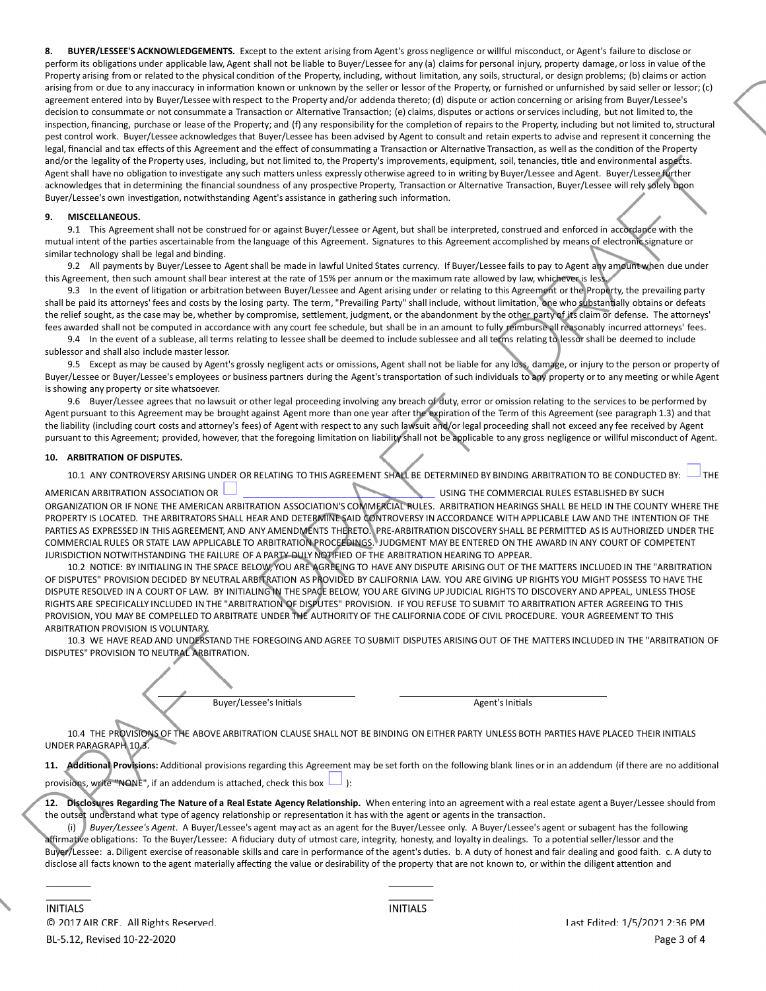**8. BUYER/LESSEE'S ACKNOWLEDGEMENTS.** Except to the extent arising from Agent's gross negligence or willful misconduct, or Agent's failure to disclose or perform its obligations under applicable law, Agent shall not be liable to Buyer/Lessee for any (a) claims for personal injury, property damage, or loss in value of the Property arising from or related to the physical condition of the Property, including, without limitation, any soils, structural, or design problems; (b) claims or action arising from or due to any inaccuracy in information known or unknown by the seller or lessor of the Property, or furnished or unfurnished by said seller or lessor; (c) agreement entered into by Buyer/Lessee with respect to the Property and/or addenda thereto; (d) dispute or action concerning or arising from Buyer/Lessee's decision to consummate or not consummate a Transaction or Alternative Transaction; (e) claims, disputes or actions or services including, but not limited to, the inspection, financing, purchase or lease of the Property; and (f) any responsibility for the completion of repairs to the Property, including but not limited to, structural pest control work. Buyer/Lessee acknowledges that Buyer/Lessee has been advised by Agent to consult and retain experts to advise and represent it concerning the legal, financial and tax effects of this Agreement and the effect of consummating a Transaction or Alternative Transaction, as well as the condition of the Property and/or the legality of the Property uses, including, but not limited to, the Property's improvements, equipment, soil, tenancies, title and environmental aspects. Agent shall have no obligation to investigate any such matters unless expressly otherwise agreed to in writing by Buyer/Lessee and Agent. Buyer/Lessee further acknowledges that in determining the financial soundness of any prospective Property, Transaction or Alternative Transaction, Buyer/Lessee will rely solely upon Buyer/Lessee's own investigation, notwithstanding Agent's assistance in gathering such information.

## **9. MISCELLANEOUS.**

9.1 This Agreement shall not be construed for or against Buyer/Lessee or Agent, but shall be interpreted, construed and enforced in accordance with the mutual intent of the parties ascertainable from the language of this Agreement. Signatures to this Agreement accomplished by means of electronic signature or similar technology shall be legal and binding.

9.2 All payments by Buyer/Lessee to Agent shall be made in lawful United States currency. If Buyer/Lessee fails to pay to Agent any amount when due under this Agreement, then such amountshall bear interest at the rate of 15% per annum or the maximum rate allowed by law, whichever is less.

9.3 In the event of litigation or arbitration between Buyer/Lessee and Agent arising under or relating to this Agreement or the Property, the prevailing party shall be paid its attorneys' fees and costs by the losing party. The term, "Prevailing Party" shall include, without limitation, one who substantially obtains or defeats the relief sought, as the case may be, whether by compromise, settlement, judgment, or the abandonment by the other party of its claim or defense. The attorneys' fees awarded shall not be computed in accordance with any court fee schedule, but shall be in an amount to fully reimburse all reasonably incurred attorneys' fees.

9.4 In the event of a sublease, all terms relating to lessee shall be deemed to include sublessee and all terms relating to lessor shall be deemed to include sublessor and shall also include master lessor.

9.5 Except as may be caused by Agent's grossly negligent acts or omissions, Agent shall not be liable for any loss, damage, or injury to the person or property of Buyer/Lessee or Buyer/Lessee's employees or business partners during the Agent's transportation of such individuals to any property or to any meeting or while Agent is showing any property or site whatsoever.

9.6 Buyer/Lessee agrees that no lawsuit or other legal proceeding involving any breach of duty, error or omission relating to the services to be performed by Agent pursuant to this Agreement may be brought against Agent more than one year after the expiration of the Term of this Agreement (see paragraph 1.3) and that the liability (including court costs and attorney's fees) of Agent with respect to any such lawsuit and/or legal proceeding shall not exceed any fee received by Agent pursuant to this Agreement; provided, however, that the foregoing limitation on liability shall not be applicable to any gross negligence or willful misconduct of Agent.

## **10. ARBITRATION OF DISPUTES.**

10.1 ANY CONTROVERSY ARISING UNDER OR RELATING TO THIS AGREEMENT SHALL BE DETERMINED BY BINDING ARBITRATION TO BE CONDUCTED BY:  $\Box$  The

AMERICAN ARBITRATION ASSOCIATION OR **UNITED ASSOCIATION OR USING THE COMMERCIAL RULES ESTABLISHED BY SUCH** ORGANIZATION OR IF NONE THE AMERICAN ARBITRATION ASSOCIATION'S COMMERCIAL RULES. ARBITRATION HEARINGS SHALL BE HELD IN THE COUNTY WHERE THE PROPERTY IS LOCATED. THE ARBITRATORS SHALL HEAR AND DETERMINE SAID CONTROVERSY IN ACCORDANCE WITH APPLICABLE LAW AND THE INTENTION OF THE PARTIES AS EXPRESSED IN THIS AGREEMENT, AND ANY AMENDMENTS THERETO. PREARBITRATION DISCOVERY SHALL BE PERMITTED AS IS AUTHORIZED UNDER THE COMMERCIAL RULES OR STATE LAW APPLICABLE TO ARBITRATION PROCEEDINGS. JUDGMENT MAY BE ENTERED ON THE AWARD IN ANY COURT OF COMPETENT JURISDICTION NOTWITHSTANDING THE FAILURE OF A PARTY DULY NOTIFIED OF THE ARBITRATION HEARING TO APPEAR.

10.2 NOTICE: BY INITIALING IN THE SPACE BELOW, YOU ARE AGREEING TO HAVE ANY DISPUTE ARISING OUT OF THE MATTERS INCLUDED IN THE "ARBITRATION OF DISPUTES" PROVISION DECIDED BY NEUTRAL ARBITRATION AS PROVIDED BY CALIFORNIA LAW. YOU ARE GIVING UP RIGHTS YOU MIGHT POSSESS TO HAVE THE DISPUTE RESOLVED IN A COURT OF LAW. BY INITIALING IN THE SPACE BELOW, YOU ARE GIVING UP JUDICIAL RIGHTS TO DISCOVERY AND APPEAL, UNLESS THOSE RIGHTS ARE SPECIFICALLY INCLUDED IN THE "ARBITRATION OF DISPUTES" PROVISION. IF YOU REFUSE TO SUBMIT TO ARBITRATION AFTER AGREEING TO THIS PROVISION, YOU MAY BE COMPELLED TO ARBITRATE UNDER THE AUTHORITY OF THE CALIFORNIA CODE OF CIVIL PROCEDURE. YOUR AGREEMENT TO THIS ARBITRATION PROVISION IS VOLUNTARY.

10.3 WE HAVE READ AND UNDERSTAND THE FOREGOING AND AGREE TO SUBMIT DISPUTES ARISING OUT OF THE MATTERS INCLUDED IN THE "ARBITRATION OF DISPUTES" PROVISION TO NEUTRAL ARBITRATION.

Buyer/Lessee's Initials **Agent** Agent's Initials Agent's Initials

10.4 THE PROVISIONS OF THE ABOVE ARBITRATION CLAUSE SHALL NOT BE BINDING ON EITHER PARTY UNLESS BOTH PARTIES HAVE PLACED THEIR INITIALS UNDER PARAGRAPH 10.3.

11. Additional Provisions: Additional provisions regarding this Agreement may be set forth on the following blank lines or in an addendum (if there are no additional provisions, write "NONE", if an addendum is attached, check this box  $\Box$  ):

12. Disclosures Regarding The Nature of a Real Estate Agency Relationship. When entering into an agreement with a real estate agent a Buyer/Lessee should from the outset understand what type of agency relationship or representation it has with the agent or agents in the transaction.

(i) *Buyer/Lessee's Agent*. A Buyer/Lessee's agent may act as an agent for the Buyer/Lessee only. A Buyer/Lessee's agent or subagent has the following affirmative obligations: To the Buyer/Lessee: A fiduciary duty of utmost care, integrity, honesty, and loyalty in dealings. To a potential seller/lessor and the Buyer/Lessee: a. Diligent exercise of reasonable skills and care in performance of the agent's duties. b. A duty of honest and fair dealing and good faith. c. A duty to disclose all facts known to the agent materially affecting the value or desirability of the property that are not known to, or within the diligent attention and